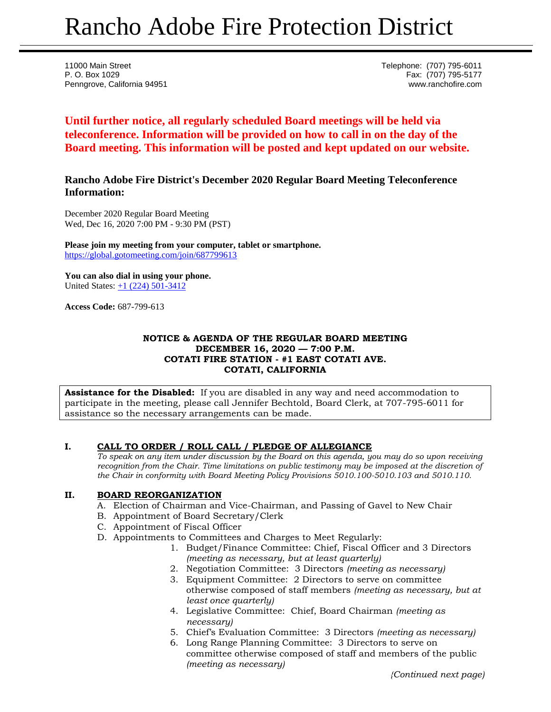# Rancho Adobe Fire Protection District

11000 Main Street Telephone: (707) 795-6011 P. O. Box 1029 Fax: (707) 795-5177 Penngrove, California 94951 www.ranchofire.com

# **Until further notice, all regularly scheduled Board meetings will be held via teleconference. Information will be provided on how to call in on the day of the Board meeting. This information will be posted and kept updated on our website.**

# **Rancho Adobe Fire District's December 2020 Regular Board Meeting Teleconference Information:**

December 2020 Regular Board Meeting Wed, Dec 16, 2020 7:00 PM - 9:30 PM (PST)

**Please join my meeting from your computer, tablet or smartphone.**  <https://global.gotomeeting.com/join/687799613>

**You can also dial in using your phone.** United States: [+1 \(224\) 501-3412](tel:+12245013412,,687799613)

**Access Code:** 687-799-613

#### **NOTICE & AGENDA OF THE REGULAR BOARD MEETING DECEMBER 16, 2020 — 7:00 P.M. COTATI FIRE STATION - #1 EAST COTATI AVE. COTATI, CALIFORNIA**

**Assistance for the Disabled:** If you are disabled in any way and need accommodation to participate in the meeting, please call Jennifer Bechtold, Board Clerk, at 707-795-6011 for assistance so the necessary arrangements can be made.

## **I. CALL TO ORDER / ROLL CALL / PLEDGE OF ALLEGIANCE**

*To speak on any item under discussion by the Board on this agenda, you may do so upon receiving recognition from the Chair. Time limitations on public testimony may be imposed at the discretion of the Chair in conformity with Board Meeting Policy Provisions 5010.100-5010.103 and 5010.110.*

## **II. BOARD REORGANIZATION**

- A. Election of Chairman and Vice-Chairman, and Passing of Gavel to New Chair
- B. Appointment of Board Secretary/Clerk
- C. Appointment of Fiscal Officer
- D. Appointments to Committees and Charges to Meet Regularly:
	- 1. Budget/Finance Committee: Chief, Fiscal Officer and 3 Directors *(meeting as necessary, but at least quarterly)*
	- 2. Negotiation Committee: 3 Directors *(meeting as necessary)*
	- 3. Equipment Committee: 2 Directors to serve on committee otherwise composed of staff members *(meeting as necessary, but at least once quarterly)*
	- 4. Legislative Committee: Chief, Board Chairman *(meeting as necessary)*
	- 5. Chief's Evaluation Committee: 3 Directors *(meeting as necessary)*
	- 6. Long Range Planning Committee: 3 Directors to serve on committee otherwise composed of staff and members of the public *(meeting as necessary)*

*{Continued next page)*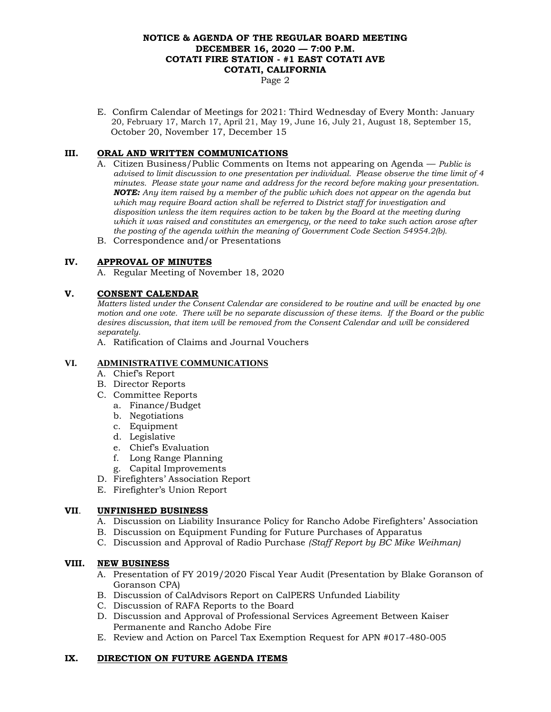#### **NOTICE & AGENDA OF THE REGULAR BOARD MEETING DECEMBER 16, 2020 — 7:00 P.M. COTATI FIRE STATION - #1 EAST COTATI AVE COTATI, CALIFORNIA**

Page 2

E. Confirm Calendar of Meetings for 2021: Third Wednesday of Every Month: January 20, February 17, March 17, April 21, May 19, June 16, July 21, August 18, September 15, October 20, November 17, December 15

# **III. ORAL AND WRITTEN COMMUNICATIONS**

- A. Citizen Business/Public Comments on Items not appearing on Agenda *Public is advised to limit discussion to one presentation per individual. Please observe the time limit of 4 minutes. Please state your name and address for the record before making your presentation. NOTE: Any item raised by a member of the public which does not appear on the agenda but which may require Board action shall be referred to District staff for investigation and disposition unless the item requires action to be taken by the Board at the meeting during which it was raised and constitutes an emergency, or the need to take such action arose after the posting of the agenda within the meaning of Government Code Section 54954.2(b).*
- B. Correspondence and/or Presentations

## **IV. APPROVAL OF MINUTES**

A. Regular Meeting of November 18, 2020

## **V. CONSENT CALENDAR**

*Matters listed under the Consent Calendar are considered to be routine and will be enacted by one motion and one vote. There will be no separate discussion of these items. If the Board or the public desires discussion, that item will be removed from the Consent Calendar and will be considered separately.*

A. Ratification of Claims and Journal Vouchers

#### **VI. ADMINISTRATIVE COMMUNICATIONS**

- A. Chief's Report
- B. Director Reports
- C. Committee Reports
	- a. Finance/Budget
	- b. Negotiations
	- c. Equipment
	- d. Legislative
	- e. Chief's Evaluation
	- f. Long Range Planning
	- g. Capital Improvements
- D. Firefighters' Association Report
- E. Firefighter's Union Report

#### **VII**. **UNFINISHED BUSINESS**

- A. Discussion on Liability Insurance Policy for Rancho Adobe Firefighters' Association
- B. Discussion on Equipment Funding for Future Purchases of Apparatus
- C. Discussion and Approval of Radio Purchase *(Staff Report by BC Mike Weihman)*

#### **VIII. NEW BUSINESS**

- A. Presentation of FY 2019/2020 Fiscal Year Audit (Presentation by Blake Goranson of Goranson CPA)
- B. Discussion of CalAdvisors Report on CalPERS Unfunded Liability
- C. Discussion of RAFA Reports to the Board
- D. Discussion and Approval of Professional Services Agreement Between Kaiser Permanente and Rancho Adobe Fire
- E. Review and Action on Parcel Tax Exemption Request for APN #017-480-005

## **IX. DIRECTION ON FUTURE AGENDA ITEMS**